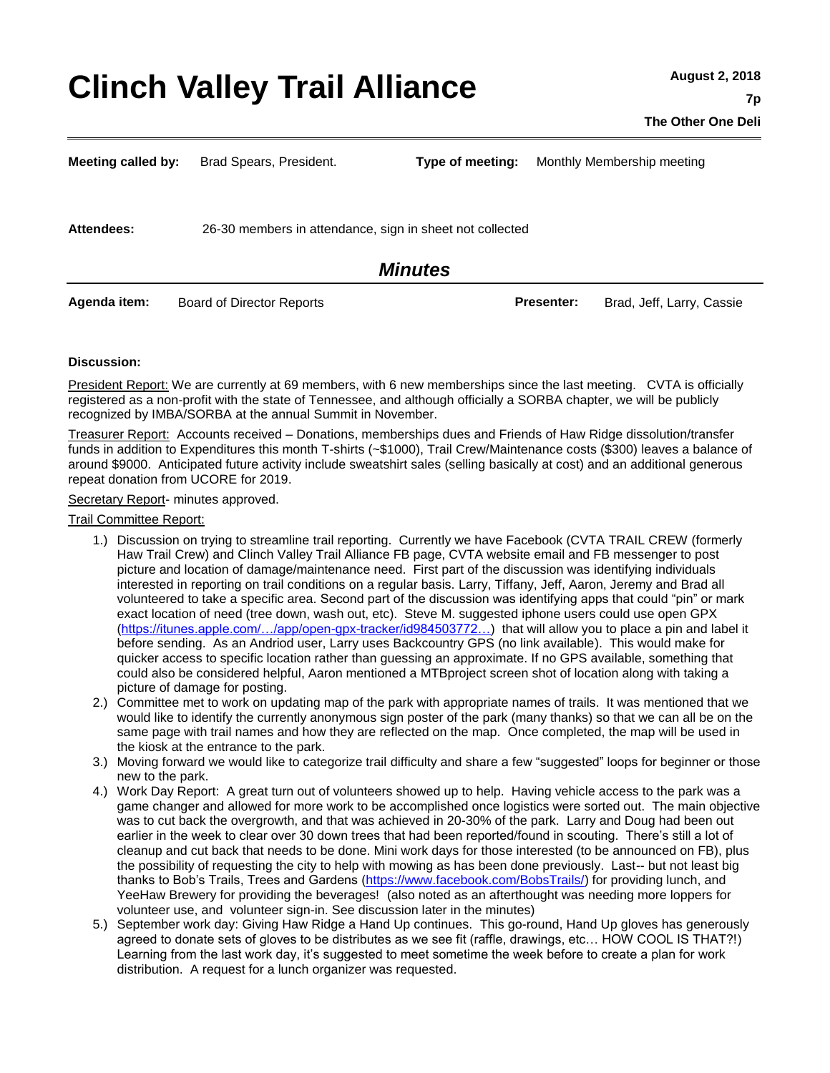# **Clinch Valley Trail Alliance**

**Meeting called by:** Brad Spears, President. **Type of meeting:** Monthly Membership meeting

**Attendees:** 26-30 members in attendance, sign in sheet not collected

# *Minutes*

**Agenda item:** Board of Director Reports **Presenter:** Brad, Jeff, Larry, Cassie

#### **Discussion:**

President Report: We are currently at 69 members, with 6 new memberships since the last meeting. CVTA is officially registered as a non-profit with the state of Tennessee, and although officially a SORBA chapter, we will be publicly recognized by IMBA/SORBA at the annual Summit in November.

Treasurer Report: Accounts received – Donations, memberships dues and Friends of Haw Ridge dissolution/transfer funds in addition to Expenditures this month T-shirts (~\$1000), Trail Crew/Maintenance costs (\$300) leaves a balance of around \$9000. Anticipated future activity include sweatshirt sales (selling basically at cost) and an additional generous repeat donation from UCORE for 2019.

Secretary Report- minutes approved.

Trail Committee Report:

- 1.) Discussion on trying to streamline trail reporting. Currently we have Facebook (CVTA TRAIL CREW (formerly Haw Trail Crew) and Clinch Valley Trail Alliance FB page, CVTA website email and FB messenger to post picture and location of damage/maintenance need. First part of the discussion was identifying individuals interested in reporting on trail conditions on a regular basis. Larry, Tiffany, Jeff, Aaron, Jeremy and Brad all volunteered to take a specific area. Second part of the discussion was identifying apps that could "pin" or mark exact location of need (tree down, wash out, etc). Steve M. suggested iphone users could use open GPX [\(https://itunes.apple.com/…/app/open-gpx-tracker/id984503772…\)](https://itunes.apple.com/us/app/open-gpx-tracker/id984503772?mt=8) that will allow you to place a pin and label it before sending. As an Andriod user, Larry uses Backcountry GPS (no link available). This would make for quicker access to specific location rather than guessing an approximate. If no GPS available, something that could also be considered helpful, Aaron mentioned a MTBproject screen shot of location along with taking a picture of damage for posting.
- 2.) Committee met to work on updating map of the park with appropriate names of trails. It was mentioned that we would like to identify the currently anonymous sign poster of the park (many thanks) so that we can all be on the same page with trail names and how they are reflected on the map. Once completed, the map will be used in the kiosk at the entrance to the park.
- 3.) Moving forward we would like to categorize trail difficulty and share a few "suggested" loops for beginner or those new to the park.
- 4.) Work Day Report: A great turn out of volunteers showed up to help. Having vehicle access to the park was a game changer and allowed for more work to be accomplished once logistics were sorted out. The main objective was to cut back the overgrowth, and that was achieved in 20-30% of the park. Larry and Doug had been out earlier in the week to clear over 30 down trees that had been reported/found in scouting. There's still a lot of cleanup and cut back that needs to be done. Mini work days for those interested (to be announced on FB), plus the possibility of requesting the city to help with mowing as has been done previously. Last-- but not least big thanks to Bob's Trails, Trees and Gardens [\(https://www.facebook.com/BobsTrails/\)](https://www.facebook.com/BobsTrails/) for providing lunch, and YeeHaw Brewery for providing the beverages! (also noted as an afterthought was needing more loppers for volunteer use, and volunteer sign-in. See discussion later in the minutes)
- 5.) September work day: Giving Haw Ridge a Hand Up continues. This go-round, Hand Up gloves has generously agreed to donate sets of gloves to be distributes as we see fit (raffle, drawings, etc… HOW COOL IS THAT?!) Learning from the last work day, it's suggested to meet sometime the week before to create a plan for work distribution. A request for a lunch organizer was requested.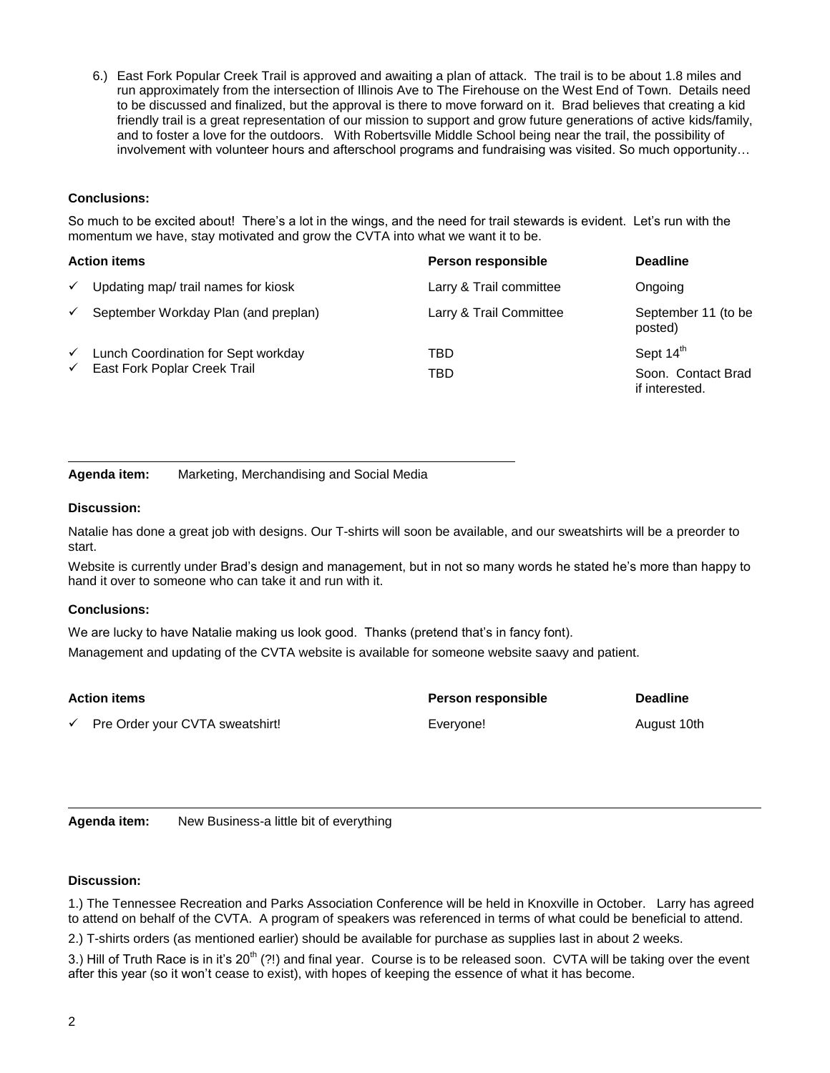6.) East Fork Popular Creek Trail is approved and awaiting a plan of attack. The trail is to be about 1.8 miles and run approximately from the intersection of Illinois Ave to The Firehouse on the West End of Town. Details need to be discussed and finalized, but the approval is there to move forward on it. Brad believes that creating a kid friendly trail is a great representation of our mission to support and grow future generations of active kids/family, and to foster a love for the outdoors. With Robertsville Middle School being near the trail, the possibility of involvement with volunteer hours and afterschool programs and fundraising was visited. So much opportunity…

# **Conclusions:**

So much to be excited about! There's a lot in the wings, and the need for trail stewards is evident. Let's run with the momentum we have, stay motivated and grow the CVTA into what we want it to be.

| <b>Action items</b> |  |
|---------------------|--|
|                     |  |

| $\checkmark$ | Updating map/ trail names for kiosk  | Larry & Trail committee | Ongoing                              |
|--------------|--------------------------------------|-------------------------|--------------------------------------|
| $\checkmark$ | September Workday Plan (and preplan) | Larry & Trail Committee | September 11 (to be<br>posted)       |
| $\checkmark$ | Lunch Coordination for Sept workday  | TBD                     | Sept 14 <sup>th</sup>                |
| $\checkmark$ | East Fork Poplar Creek Trail         | TBD                     | Soon. Contact Brad<br>if interested. |

**Action items Person responsible Deadline**

**Agenda item:** Marketing, Merchandising and Social Media

#### **Discussion:**

Natalie has done a great job with designs. Our T-shirts will soon be available, and our sweatshirts will be a preorder to start.

Website is currently under Brad's design and management, but in not so many words he stated he's more than happy to hand it over to someone who can take it and run with it.

## **Conclusions:**

We are lucky to have Natalie making us look good. Thanks (pretend that's in fancy font).

Management and updating of the CVTA website is available for someone website saavy and patient.

| <b>Action items</b> |                                              | Person responsible | <b>Deadline</b> |
|---------------------|----------------------------------------------|--------------------|-----------------|
|                     | $\checkmark$ Pre Order your CVTA sweatshirt! | Everyone!          | August 10th     |

**Agenda item:** New Business-a little bit of everything

## **Discussion:**

1.) The Tennessee Recreation and Parks Association Conference will be held in Knoxville in October. Larry has agreed to attend on behalf of the CVTA. A program of speakers was referenced in terms of what could be beneficial to attend.

2.) T-shirts orders (as mentioned earlier) should be available for purchase as supplies last in about 2 weeks.

3.) Hill of Truth Race is in it's 20<sup>th</sup> (?!) and final year. Course is to be released soon. CVTA will be taking over the event after this year (so it won't cease to exist), with hopes of keeping the essence of what it has become.